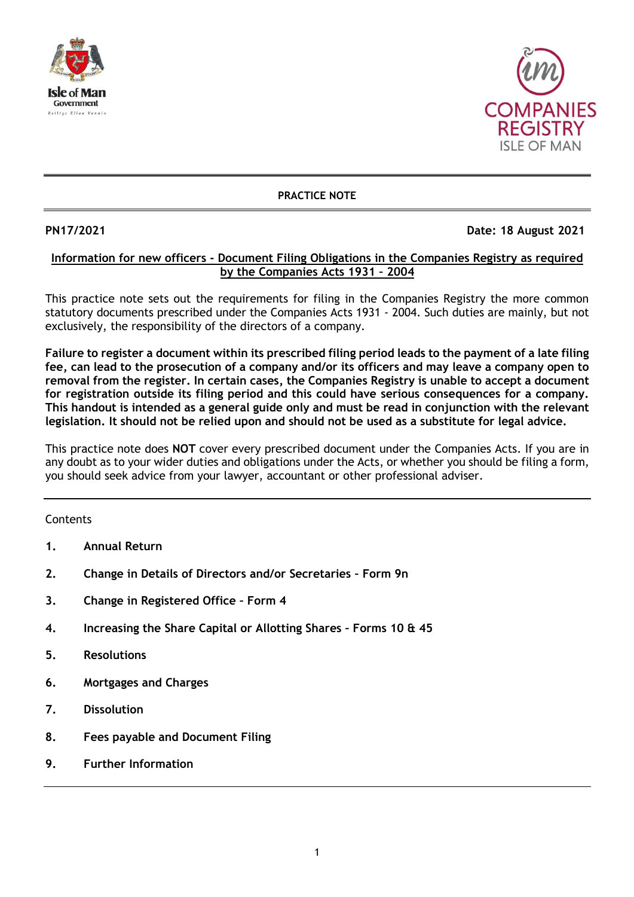



# **PRACTICE NOTE**

# **PN17/2021 Date: 18 August 2021**

# **Information for new officers - Document Filing Obligations in the Companies Registry as required by the Companies Acts 1931 – 2004**

This practice note sets out the requirements for filing in the Companies Registry the more common statutory documents prescribed under the Companies Acts 1931 - 2004. Such duties are mainly, but not exclusively, the responsibility of the directors of a company.

**Failure to register a document within its prescribed filing period leads to the payment of a late filing fee, can lead to the prosecution of a company and/or its officers and may leave a company open to removal from the register. In certain cases, the Companies Registry is unable to accept a document for registration outside its filing period and this could have serious consequences for a company. This handout is intended as a general guide only and must be read in conjunction with the relevant legislation. It should not be relied upon and should not be used as a substitute for legal advice.** 

This practice note does **NOT** cover every prescribed document under the Companies Acts. If you are in any doubt as to your wider duties and obligations under the Acts, or whether you should be filing a form, you should seek advice from your lawyer, accountant or other professional adviser.

# **Contents**

- **1. Annual Return**
- **2. Change in Details of Directors and/or Secretaries – Form 9n**
- **3. Change in Registered Office – Form 4**
- **4. Increasing the Share Capital or Allotting Shares – Forms 10 & 45**
- **5. Resolutions**
- **6. Mortgages and Charges**
- **7. Dissolution**
- **8. Fees payable and Document Filing**
- **9. Further Information**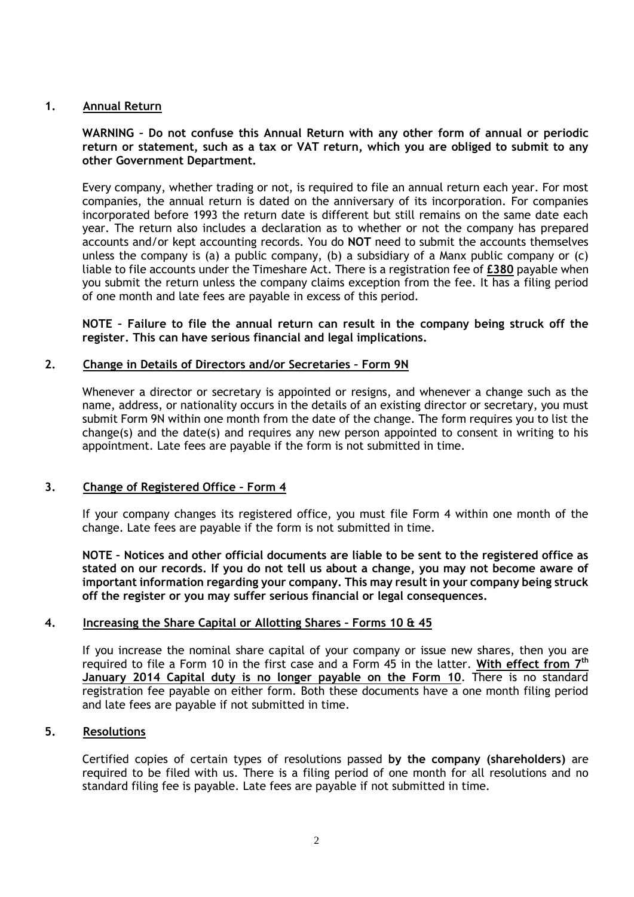# **1. Annual Return**

**WARNING – Do not confuse this Annual Return with any other form of annual or periodic return or statement, such as a tax or VAT return, which you are obliged to submit to any other Government Department.**

Every company, whether trading or not, is required to file an annual return each year. For most companies, the annual return is dated on the anniversary of its incorporation. For companies incorporated before 1993 the return date is different but still remains on the same date each year. The return also includes a declaration as to whether or not the company has prepared accounts and/or kept accounting records. You do **NOT** need to submit the accounts themselves unless the company is (a) a public company, (b) a subsidiary of a Manx public company or (c) liable to file accounts under the Timeshare Act. There is a registration fee of **£380** payable when you submit the return unless the company claims exception from the fee. It has a filing period of one month and late fees are payable in excess of this period.

**NOTE – Failure to file the annual return can result in the company being struck off the register. This can have serious financial and legal implications.**

### **2. Change in Details of Directors and/or Secretaries – Form 9N**

Whenever a director or secretary is appointed or resigns, and whenever a change such as the name, address, or nationality occurs in the details of an existing director or secretary, you must submit Form 9N within one month from the date of the change. The form requires you to list the change(s) and the date(s) and requires any new person appointed to consent in writing to his appointment. Late fees are payable if the form is not submitted in time.

#### **3. Change of Registered Office – Form 4**

If your company changes its registered office, you must file Form 4 within one month of the change. Late fees are payable if the form is not submitted in time.

**NOTE – Notices and other official documents are liable to be sent to the registered office as stated on our records. If you do not tell us about a change, you may not become aware of important information regarding your company. This may result in your company being struck off the register or you may suffer serious financial or legal consequences.** 

### **4. Increasing the Share Capital or Allotting Shares – Forms 10 & 45**

If you increase the nominal share capital of your company or issue new shares, then you are required to file a Form 10 in the first case and a Form 45 in the latter. **With effect from 7th January 2014 Capital duty is no longer payable on the Form 10**. There is no standard registration fee payable on either form. Both these documents have a one month filing period and late fees are payable if not submitted in time.

### **5. Resolutions**

Certified copies of certain types of resolutions passed **by the company (shareholders)** are required to be filed with us. There is a filing period of one month for all resolutions and no standard filing fee is payable. Late fees are payable if not submitted in time.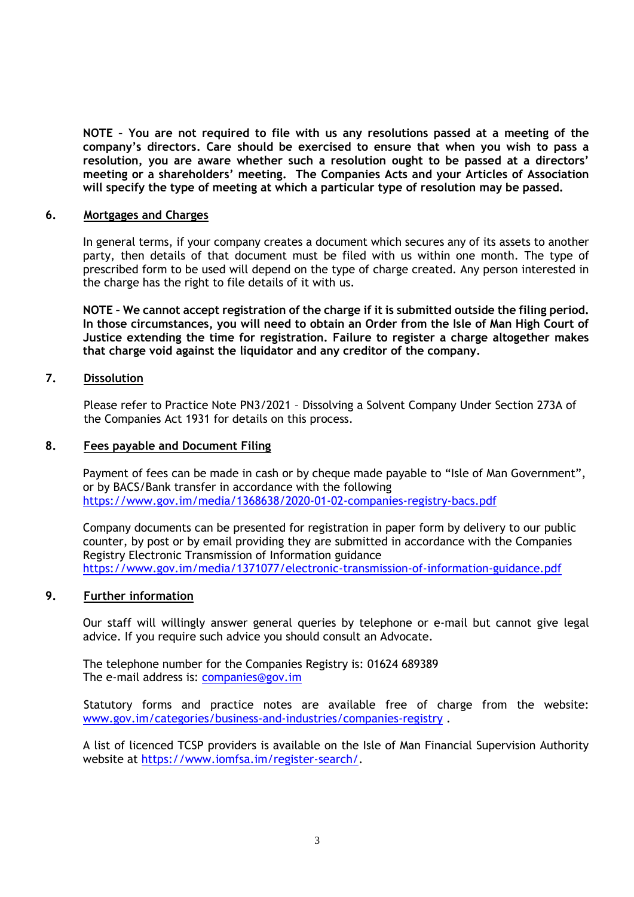**NOTE – You are not required to file with us any resolutions passed at a meeting of the company's directors. Care should be exercised to ensure that when you wish to pass a resolution, you are aware whether such a resolution ought to be passed at a directors' meeting or a shareholders' meeting. The Companies Acts and your Articles of Association will specify the type of meeting at which a particular type of resolution may be passed.**

### **6. Mortgages and Charges**

In general terms, if your company creates a document which secures any of its assets to another party, then details of that document must be filed with us within one month. The type of prescribed form to be used will depend on the type of charge created. Any person interested in the charge has the right to file details of it with us.

**NOTE – We cannot accept registration of the charge if it is submitted outside the filing period. In those circumstances, you will need to obtain an Order from the Isle of Man High Court of Justice extending the time for registration. Failure to register a charge altogether makes that charge void against the liquidator and any creditor of the company.**

# **7. Dissolution**

Please refer to Practice Note PN3/2021 – Dissolving a Solvent Company Under Section 273A of the Companies Act 1931 for details on this process.

# **8. Fees payable and Document Filing**

Payment of fees can be made in cash or by cheque made payable to "Isle of Man Government", or by BACS/Bank transfer in accordance with the following <https://www.gov.im/media/1368638/2020-01-02-companies-registry-bacs.pdf>

Company documents can be presented for registration in paper form by delivery to our public counter, by post or by email providing they are submitted in accordance with the Companies Registry Electronic Transmission of Information guidance <https://www.gov.im/media/1371077/electronic-transmission-of-information-guidance.pdf>

# **9. Further information**

Our staff will willingly answer general queries by telephone or e-mail but cannot give legal advice. If you require such advice you should consult an Advocate.

The telephone number for the Companies Registry is: 01624 689389 The e-mail address is: [companies@gov.im](mailto:companies.registry@gov.im)

Statutory forms and practice notes are available free of charge from the website: [www.gov.im/categories/business-and-industries/companies-registry](http://www.gov.im/categories/business-and-industries/companies-registry) .

A list of licenced TCSP providers is available on the Isle of Man Financial Supervision Authority website at [https://www.iomfsa.im/register-search/.](https://www.iomfsa.im/register-search/)